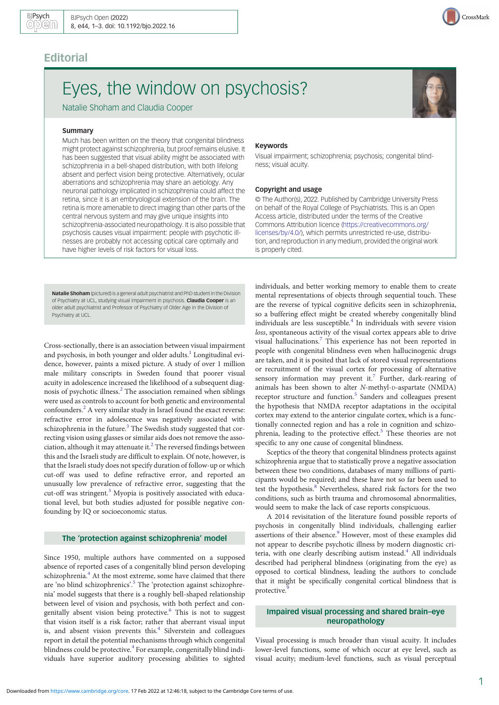# **Editorial**

# Eyes, the window on psychosis?

Natalie Shoham and Claudia Cooper

#### **Summary**

Much has been written on the theory that congenital blindness might protect against schizophrenia, but proof remains elusive. It has been suggested that visual ability might be associated with schizophrenia in a bell-shaped distribution, with both lifelong absent and perfect vision being protective. Alternatively, ocular aberrations and schizophrenia may share an aetiology. Any neuronal pathology implicated in schizophrenia could affect the retina, since it is an embryological extension of the brain. The retina is more amenable to direct imaging than other parts of the central nervous system and may give unique insights into schizophrenia-associated neuropathology. It is also possible that psychosis causes visual impairment: people with psychotic illnesses are probably not accessing optical care optimally and have higher levels of risk factors for visual loss.

Natalie Shoham (pictured) is a general adult psychiatrist and PhD student in the Division of Psychiatry at UCL, studying visual impairment in psychosis. Claudia Cooper is an older adult psychiatrist and Professor of Psychiatry of Older Age in the Division of Psychiatry at UCL.

Cross-sectionally, there is an association between visual impairment and psychosis, in both younger and older adults. $<sup>1</sup>$  Longitudinal evi-</sup> dence, however, paints a mixed picture. A study of over 1 million male military conscripts in Sweden found that poorer visual acuity in adolescence increased the likelihood of a subsequent diag-nosis of psychotic illness.<sup>[2](#page-1-0)</sup> The association remained when siblings were used as controls to account for both genetic and environmental confounders[.2](#page-1-0) A very similar study in Israel found the exact reverse: refractive error in adolescence was negatively associated with schizophrenia in the future. $3$  The Swedish study suggested that correcting vision using glasses or similar aids does not remove the association, although it may attenuate it. $<sup>2</sup>$  $<sup>2</sup>$  $<sup>2</sup>$  The reversed findings between</sup> this and the Israeli study are difficult to explain. Of note, however, is that the Israeli study does not specify duration of follow-up or which cut-off was used to define refractive error, and reported an unusually low prevalence of refractive error, suggesting that the cut-off was stringent.<sup>[3](#page-1-0)</sup> Myopia is positively associated with educational level, but both studies adjusted for possible negative confounding by IQ or socioeconomic status.

# The 'protection against schizophrenia' model

Since 1950, multiple authors have commented on a supposed absence of reported cases of a congenitally blind person developing schizophrenia.<sup>[4](#page-1-0)</sup> At the most extreme, some have claimed that there are 'no blind schizophrenics'. [5](#page-1-0) The 'protection against schizophrenia' model suggests that there is a roughly bell-shaped relationship between level of vision and psychosis, with both perfect and con-genitally absent vision being protective.<sup>[6](#page-1-0)</sup> This is not to suggest that vision itself is a risk factor; rather that aberrant visual input is, and absent vision prevents this. $4$  Silverstein and colleagues report in detail the potential mechanisms through which congenital blindness could be protective.<sup>[4](#page-1-0)</sup> For example, congenitally blind individuals have superior auditory processing abilities to sighted

#### Keywords

Visual impairment; schizophrenia; psychosis; congenital blindness; visual acuity.

#### Copyright and usage

© The Author(s), 2022. Published by Cambridge University Press on behalf of the Royal College of Psychiatrists. This is an Open Access article, distributed under the terms of the Creative Commons Attribution licence [\(https://creativecommons.org/](https://creativecommons.org/licenses/by/4.0/) [licenses/by/4.0/](https://creativecommons.org/licenses/by/4.0/)), which permits unrestricted re-use, distribution, and reproduction in any medium, provided the original work is properly cited.

individuals, and better working memory to enable them to create mental representations of objects through sequential touch. These are the reverse of typical cognitive deficits seen in schizophrenia, so a buffering effect might be created whereby congenitally blind individuals are less susceptible.<sup>[4](#page-1-0)</sup> In individuals with severe vision loss, spontaneous activity of the visual cortex appears able to drive visual hallucinations[.7](#page-1-0) This experience has not been reported in people with congenital blindness even when hallucinogenic drugs are taken, and it is posited that lack of stored visual representations or recruitment of the visual cortex for processing of alternative sensory information may prevent it.<sup>[7](#page-1-0)</sup> Further, dark-rearing of animals has been shown to alter N-methyl-D-aspartate (NMDA) receptor structure and function.<sup>[5](#page-1-0)</sup> Sanders and colleagues present the hypothesis that NMDA receptor adaptations in the occipital cortex may extend to the anterior cingulate cortex, which is a functionally connected region and has a role in cognition and schizo-phrenia, leading to the protective effect.<sup>[5](#page-1-0)</sup> These theories are not specific to any one cause of congenital blindness.

Sceptics of the theory that congenital blindness protects against schizophrenia argue that to statistically prove a negative association between these two conditions, databases of many millions of participants would be required; and these have not so far been used to test the hypothesis.<sup>[8](#page-1-0)</sup> Nevertheless, shared risk factors for the two conditions, such as birth trauma and chromosomal abnormalities, would seem to make the lack of case reports conspicuous.

A 2014 revisitation of the literature found possible reports of psychosis in congenitally blind individuals, challenging earlier assertions of their absence.<sup>[9](#page-1-0)</sup> However, most of these examples did not appear to describe psychotic illness by modern diagnostic cri-teria, with one clearly describing autism instead.<sup>[4](#page-1-0)</sup> All individuals described had peripheral blindness (originating from the eye) as opposed to cortical blindness, leading the authors to conclude that it might be specifically congenital cortical blindness that is protective.<sup>[9](#page-1-0)</sup>

# Impaired visual processing and shared brain–eye neuropathology

Visual processing is much broader than visual acuity. It includes lower-level functions, some of which occur at eye level, such as visual acuity; medium-level functions, such as visual perceptual



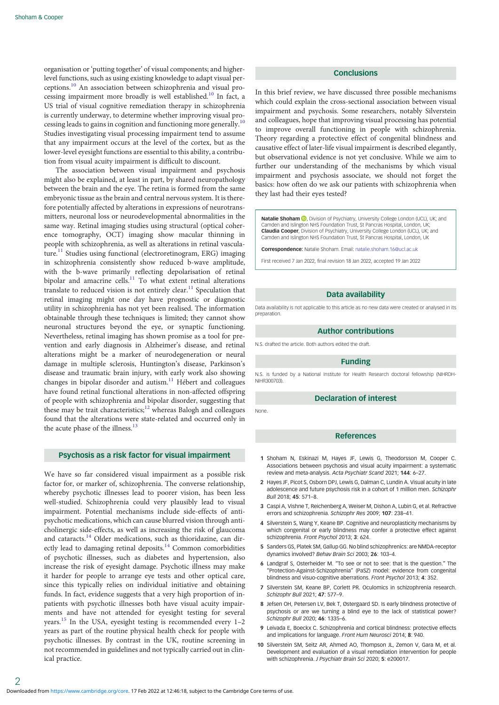<span id="page-1-0"></span>organisation or 'putting together' of visual components; and higherlevel functions, such as using existing knowledge to adapt visual perceptions.<sup>10</sup> An association between schizophrenia and visual processing impairment more broadly is well established.<sup>10</sup> In fact, a US trial of visual cognitive remediation therapy in schizophrenia is currently underway, to determine whether improving visual processing leads to gains in cognition and functioning more generally.<sup>10</sup> Studies investigating visual processing impairment tend to assume that any impairment occurs at the level of the cortex, but as the lower-level eyesight functions are essential to this ability, a contribution from visual acuity impairment is difficult to discount.

The association between visual impairment and psychosis might also be explained, at least in part, by shared neuropathology between the brain and the eye. The retina is formed from the same embryonic tissue as the brain and central nervous system. It is therefore potentially affected by alterations in expressions of neurotransmitters, neuronal loss or neurodevelopmental abnormalities in the same way. Retinal imaging studies using structural (optical coherence tomography, OCT) imaging show macular thinning in people with schizophrenia, as well as alterations in retinal vasculature.[11](#page-2-0) Studies using functional (electroretinogram, ERG) imaging in schizophrenia consistently show reduced b-wave amplitude, with the b-wave primarily reflecting depolarisation of retinal bipolar and amacrine cells.<sup>[11](#page-2-0)</sup> To what extent retinal alterations translate to reduced vision is not entirely clear.<sup>[11](#page-2-0)</sup> Speculation that retinal imaging might one day have prognostic or diagnostic utility in schizophrenia has not yet been realised. The information obtainable through these techniques is limited; they cannot show neuronal structures beyond the eye, or synaptic functioning. Nevertheless, retinal imaging has shown promise as a tool for prevention and early diagnosis in Alzheimer's disease, and retinal alterations might be a marker of neurodegeneration or neural damage in multiple sclerosis, Huntington's disease, Parkinson's disease and traumatic brain injury, with early work also showing changes in bipolar disorder and autism.<sup>[11](#page-2-0)</sup> Hébert and colleagues have found retinal functional alterations in non-affected offspring of people with schizophrenia and bipolar disorder, suggesting that these may be trait characteristics; $12$  whereas Balogh and colleagues found that the alterations were state-related and occurred only in the acute phase of the illness.<sup>[13](#page-2-0)</sup>

# Psychosis as a risk factor for visual impairment

We have so far considered visual impairment as a possible risk factor for, or marker of, schizophrenia. The converse relationship, whereby psychotic illnesses lead to poorer vision, has been less well-studied. Schizophrenia could very plausibly lead to visual impairment. Potential mechanisms include side-effects of antipsychotic medications, which can cause blurred vision through anticholinergic side-effects, as well as increasing the risk of glaucoma and cataracts[.14](#page-2-0) Older medications, such as thioridazine, can dir-ectly lead to damaging retinal deposits.<sup>[14](#page-2-0)</sup> Common comorbidities of psychotic illnesses, such as diabetes and hypertension, also increase the risk of eyesight damage. Psychotic illness may make it harder for people to arrange eye tests and other optical care, since this typically relies on individual initiative and obtaining funds. In fact, evidence suggests that a very high proportion of inpatients with psychotic illnesses both have visual acuity impairments and have not attended for eyesight testing for several years.<sup>[15](#page-2-0)</sup> In the USA, eyesight testing is recommended every 1-2 years as part of the routine physical health check for people with psychotic illnesses. By contrast in the UK, routine screening in not recommended in guidelines and not typically carried out in clinical practice.

# **Conclusions**

In this brief review, we have discussed three possible mechanisms which could explain the cross-sectional association between visual impairment and psychosis. Some researchers, notably Silverstein and colleagues, hope that improving visual processing has potential to improve overall functioning in people with schizophrenia. Theory regarding a protective effect of congenital blindness and causative effect of later-life visual impairment is described elegantly, but observational evidence is not yet conclusive. While we aim to further our understanding of the mechanisms by which visual impairment and psychosis associate, we should not forget the basics: how often do we ask our patients with schizophrenia when they last had their eyes tested?

Natalie Shoham **D**[,](https://orcid.org/0000-0002-2317-7728) Division of Psychiatry, University College London (UCL), UK; and Camden and Islington NHS Foundation Trust, St Pancras Hospital, London, UK; Claudia Cooper, Division of Psychiatry, University College London (UCL), UK; and Camden and Islington NHS Foundation Trust, St Pancras Hospital, London, UK

Correspondence: Natalie Shoham. Email: [natalie.shoham.16@ucl.ac.uk](mailto:natalie.shoham.16@ucl.ac.uk)

First received 7 Jan 2022, final revision 18 Jan 2022, accepted 19 Jan 2022

#### Data availability

Data availability is not applicable to this article as no new data were created or analysed in its preparation.

# Author contributions

N.S. drafted the article. Both authors edited the draft.

#### Funding

N.S. is funded by a National Institute for Health Research doctoral fellowship (NIHRDH-NIHR300703).

### Declaration of interest

None.

#### References

- 1 Shoham N, Eskinazi M, Hayes JF, Lewis G, Theodorsson M, Cooper C. Associations between psychosis and visual acuity impairment: a systematic review and meta-analysis. Acta Psychiatr Scand 2021; 144: 6–27.
- 2 Hayes JF, Picot S, Osborn DPJ, Lewis G, Dalman C, Lundin A. Visual acuity in late adolescence and future psychosis risk in a cohort of 1 million men. Schizophr Bull 2018; 45: 571–8.
- 3 Caspi A, Vishne T, Reichenberg A, Weiser M, Dishon A, Lubin G, et al. Refractive errors and schizophrenia. Schizophr Res 2009; 107: 238–41.
- 4 Silverstein S, Wang Y, Keane BP. Cognitive and neuroplasticity mechanisms by which congenital or early blindness may confer a protective effect against schizophrenia. Front Psychol 2013; 3: 624.
- 5 Sanders GS, Platek SM, Gallup GG. No blind schizophrenics: are NMDA-receptor dynamics involved? Behav Brain Sci 2003; 26: 103–4.
- 6 Landgraf S, Osterheider M. "To see or not to see: that is the question." The "Protection-Against-Schizophrenia" (PaSZ) model: evidence from congenital blindness and visuo-cognitive aberrations. Front Psychol 2013; 4: 352.
- 7 Silverstein SM, Keane BP, Corlett PR. Oculomics in schizophrenia research. Schizophr Bull 2021; 47: 577–9.
- 8 Jefsen OH, Petersen LV, Bek T, Østergaard SD. Is early blindness protective of psychosis or are we turning a blind eye to the lack of statistical power? Schizophr Bull 2020; 46: 1335–6.
- 9 Leivada E, Boeckx C. Schizophrenia and cortical blindness: protective effects and implications for language. Front Hum Neurosci 2014; 8: 940.
- 10 Silverstein SM, Seitz AR, Ahmed AO, Thompson JL, Zemon V, Gara M, et al. Development and evaluation of a visual remediation intervention for people with schizophrenia. J Psychiatr Brain Sci 2020; 5: e200017.